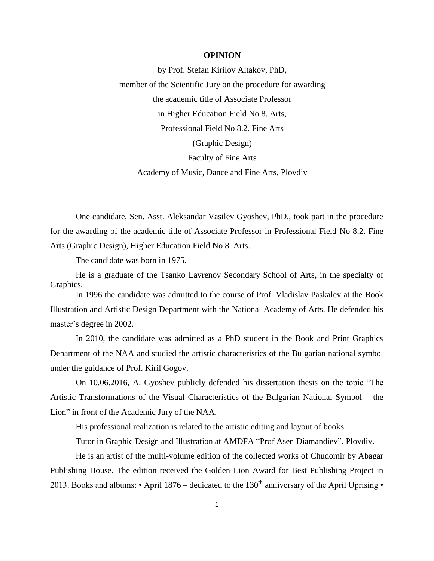## **OPINION**

by Prof. Stefan Kirilov Altakov, PhD, member of the Scientific Jury on the procedure for awarding the academic title of Associate Professor in Higher Education Field No 8. Arts, Professional Field No 8.2. Fine Arts (Graphic Design) Faculty of Fine Arts Academy of Music, Dance and Fine Arts, Plovdiv

One candidate, Sen. Asst. Aleksandar Vasilev Gyoshev, PhD., took part in the procedure for the awarding of the academic title of Associate Professor in Professional Field No 8.2. Fine Arts (Graphic Design), Higher Education Field No 8. Arts.

The candidate was born in 1975.

He is a graduate of the Tsanko Lavrenov Secondary School of Arts, in the specialty of Graphics.

In 1996 the candidate was admitted to the course of Prof. Vladislav Paskalev at the Book Illustration and Artistic Design Department with the National Academy of Arts. He defended his master's degree in 2002.

In 2010, the candidate was admitted as a PhD student in the Book and Print Graphics Department of the NAA and studied the artistic characteristics of the Bulgarian national symbol under the guidance of Prof. Kiril Gogov.

On 10.06.2016, A. Gyoshev publicly defended his dissertation thesis on the topic "The Artistic Transformations of the Visual Characteristics of the Bulgarian National Symbol – the Lion" in front of the Academic Jury of the NAA.

His professional realization is related to the artistic editing and layout of books.

Tutor in Graphic Design and Illustration at AMDFA "Prof Asen Diamandiev", Plovdiv.

He is an artist of the multi-volume edition of the collected works of Chudomir by Abagar Publishing House. The edition received the Golden Lion Award for Best Publishing Project in 2013. Books and albums:  $\cdot$  April 1876 – dedicated to the 130<sup>th</sup> anniversary of the April Uprising  $\cdot$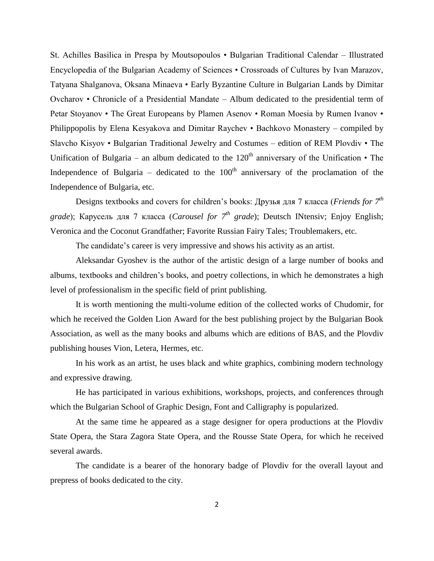St. Achilles Basilica in Prespa by Moutsopoulos • Bulgarian Traditional Calendar – Illustrated Encyclopedia of the Bulgarian Academy of Sciences • Crossroads of Cultures by Ivan Marazov, Tatyana Shalganova, Oksana Minaeva • Early Byzantine Culture in Bulgarian Lands by Dimitar Ovcharov • Chronicle of a Presidential Mandate – Album dedicated to the presidential term of Petar Stoyanov • The Great Europeans by Plamen Asenov • Roman Moesia by Rumen Ivanov • Philippopolis by Elena Kesyakova and Dimitar Raychev • Bachkovo Monastery – compiled by Slavcho Kisyov • Bulgarian Traditional Jewelry and Costumes – edition of REM Plovdiv • The Unification of Bulgaria – an album dedicated to the  $120<sup>th</sup>$  anniversary of the Unification • The Independence of Bulgaria – dedicated to the  $100<sup>th</sup>$  anniversary of the proclamation of the Independence of Bulgaria, etc.

Designs textbooks and covers for children's books: Друзья для 7 класса (*Friends for 7 th grade*); Карусель для 7 класса (*Carousel for*  $7<sup>th</sup>$  *grade*); Deutsch INtensiv; Enjoy English; Veronica and the Coconut Grandfather; Favorite Russian Fairy Tales; Troublemakers, etc.

The candidate's career is very impressive and shows his activity as an artist.

Aleksandar Gyoshev is the author of the artistic design of a large number of books and albums, textbooks and children's books, and poetry collections, in which he demonstrates a high level of professionalism in the specific field of print publishing.

It is worth mentioning the multi-volume edition of the collected works of Chudomir, for which he received the Golden Lion Award for the best publishing project by the Bulgarian Book Association, as well as the many books and albums which are editions of BAS, and the Plovdiv publishing houses Vion, Letera, Hermes, etc.

In his work as an artist, he uses black and white graphics, combining modern technology and expressive drawing.

He has participated in various exhibitions, workshops, projects, and conferences through which the Bulgarian School of Graphic Design, Font and Calligraphy is popularized.

At the same time he appeared as a stage designer for opera productions at the Plovdiv State Opera, the Stara Zagora State Opera, and the Rousse State Opera, for which he received several awards.

The candidate is a bearer of the honorary badge of Plovdiv for the overall layout and prepress of books dedicated to the city.